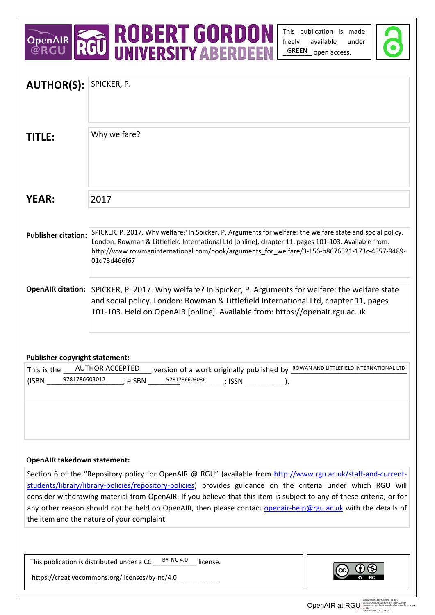# OPENAIR **ROBERT GORDON**<br>@RGU RGU UNIVERSITY ABERDEEN

This publication is made freely available under GREEN open access.



| <b>AUTHOR(S):</b>                                                                                                          | SPICKER, P.                                                                                               |
|----------------------------------------------------------------------------------------------------------------------------|-----------------------------------------------------------------------------------------------------------|
|                                                                                                                            |                                                                                                           |
|                                                                                                                            |                                                                                                           |
|                                                                                                                            |                                                                                                           |
| <b>TITLE:</b>                                                                                                              | Why welfare?                                                                                              |
|                                                                                                                            |                                                                                                           |
|                                                                                                                            |                                                                                                           |
|                                                                                                                            |                                                                                                           |
|                                                                                                                            |                                                                                                           |
| <b>YEAR:</b>                                                                                                               |                                                                                                           |
|                                                                                                                            | 2017                                                                                                      |
|                                                                                                                            |                                                                                                           |
|                                                                                                                            | SPICKER, P. 2017. Why welfare? In Spicker, P. Arguments for welfare: the welfare state and social policy. |
| <b>Publisher citation:</b>                                                                                                 | London: Rowman & Littlefield International Ltd [online], chapter 11, pages 101-103. Available from:       |
|                                                                                                                            | http://www.rowmaninternational.com/book/arguments_for_welfare/3-156-b8676521-173c-4557-9489-              |
|                                                                                                                            | 01d73d466f67                                                                                              |
|                                                                                                                            |                                                                                                           |
|                                                                                                                            | OpenAIR citation: SPICKER, P. 2017. Why welfare? In Spicker, P. Arguments for welfare: the welfare state  |
|                                                                                                                            | and social policy. London: Rowman & Littlefield International Ltd, chapter 11, pages                      |
|                                                                                                                            | 101-103. Held on OpenAIR [online]. Available from: https://openair.rgu.ac.uk                              |
|                                                                                                                            |                                                                                                           |
|                                                                                                                            |                                                                                                           |
|                                                                                                                            |                                                                                                           |
| <b>Publisher copyright statement:</b>                                                                                      |                                                                                                           |
| <b>AUTHOR ACCEPTED</b><br>Version of a work originally published by ROWAN AND LITTLEFIELD INTERNATIONAL LTD<br>This is the |                                                                                                           |
| 9781786603012<br>9781786603036<br>(ISBN<br>; eISBN<br>; ISSN                                                               |                                                                                                           |
|                                                                                                                            |                                                                                                           |
|                                                                                                                            |                                                                                                           |
|                                                                                                                            |                                                                                                           |
|                                                                                                                            |                                                                                                           |
|                                                                                                                            |                                                                                                           |
|                                                                                                                            |                                                                                                           |
|                                                                                                                            |                                                                                                           |
| <b>OpenAIR takedown statement:</b>                                                                                         |                                                                                                           |
| Section 6 of the "Repository policy for OpenAIR @ RGU" (available from http://www.rgu.ac.uk/staff-and-current-             |                                                                                                           |
| students/library/library-policies/repository-policies) provides guidance on the criteria under which RGU will              |                                                                                                           |
| consider withdrawing material from OpenAIR. If you believe that this item is subject to any of these criteria, or for      |                                                                                                           |
| any other reason should not be held on OpenAIR, then please contact openair-help@rgu.ac.uk with the details of             |                                                                                                           |
| the item and the nature of your complaint.                                                                                 |                                                                                                           |
|                                                                                                                            |                                                                                                           |
|                                                                                                                            |                                                                                                           |
|                                                                                                                            | <b>BY-NC 4.0</b><br>This publication is distributed under a CC _<br>license.                              |
|                                                                                                                            |                                                                                                           |
| https://creativecommons.org/licenses/by-nc/4.0                                                                             |                                                                                                           |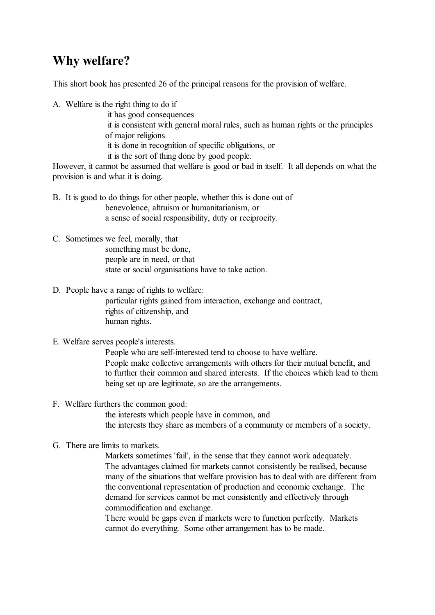## **Why welfare?**

This short book has presented 26 of the principal reasons for the provision of welfare.

A. Welfare is the right thing to do if

- it has good consequences
- it is consistent with general moral rules, such as human rights or the principles of major religions
- it is done in recognition of specific obligations, or
- it is the sort of thing done by good people.

However, it cannot be assumed that welfare is good or bad in itself. It all depends on what the provision is and what it is doing.

- B. It is good to do things for other people, whether this is done out of benevolence, altruism or humanitarianism, or a sense of social responsibility, duty or reciprocity.
- C. Sometimes we feel, morally, that something must be done, people are in need, or that state or social organisations have to take action.
- D. People have a range of rights to welfare:

particular rights gained from interaction, exchange and contract, rights of citizenship, and human rights.

### E. Welfare serves people's interests.

People who are self-interested tend to choose to have welfare. People make collective arrangements with others for their mutual benefit, and to further their common and shared interests. If the choices which lead to them being set up are legitimate, so are the arrangements.

### F. Welfare furthers the common good:

the interests which people have in common, and the interests they share as members of a community or members of a society.

### G. There are limits to markets.

Markets sometimes 'fail', in the sense that they cannot work adequately. The advantages claimed for markets cannot consistently be realised, because many of the situations that welfare provision has to deal with are different from the conventional representation of production and economic exchange. The demand for services cannot be met consistently and effectively through commodification and exchange.

There would be gaps even if markets were to function perfectly. Markets cannot do everything. Some other arrangement has to be made.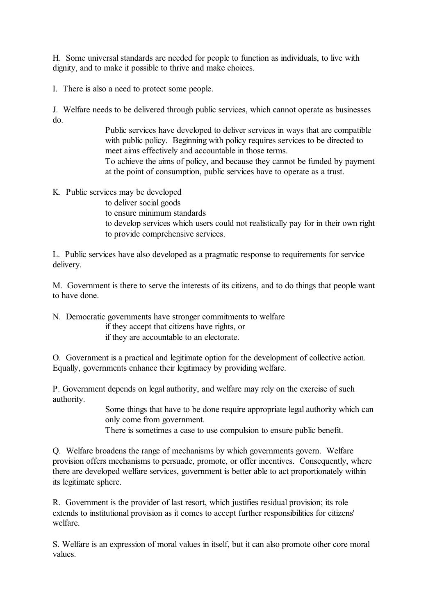H. Some universal standards are needed for people to function as individuals, to live with dignity, and to make it possible to thrive and make choices.

I. There is also a need to protect some people.

J. Welfare needs to be delivered through public services, which cannot operate as businesses do.

> Public services have developed to deliver services in ways that are compatible with public policy. Beginning with policy requires services to be directed to meet aims effectively and accountable in those terms. To achieve the aims of policy, and because they cannot be funded by payment at the point of consumption, public services have to operate as a trust.

K. Public services may be developed

to deliver social goods to ensure minimum standards to develop services which users could not realistically pay for in their own right to provide comprehensive services.

L. Public services have also developed as a pragmatic response to requirements for service delivery.

M. Government is there to serve the interests of its citizens, and to do things that people want to have done.

N. Democratic governments have stronger commitments to welfare

if they accept that citizens have rights, or if they are accountable to an electorate.

O. Government is a practical and legitimate option for the development of collective action. Equally, governments enhance their legitimacy by providing welfare.

P. Government depends on legal authority, and welfare may rely on the exercise of such authority.

> Some things that have to be done require appropriate legal authority which can only come from government.

There is sometimes a case to use compulsion to ensure public benefit.

Q. Welfare broadens the range of mechanisms by which governments govern. Welfare provision offers mechanisms to persuade, promote, or offer incentives. Consequently, where there are developed welfare services, government is better able to act proportionately within its legitimate sphere.

R. Government is the provider of last resort, which justifies residual provision; its role extends to institutional provision as it comes to accept further responsibilities for citizens' welfare.

S. Welfare is an expression of moral values in itself, but it can also promote other core moral values.